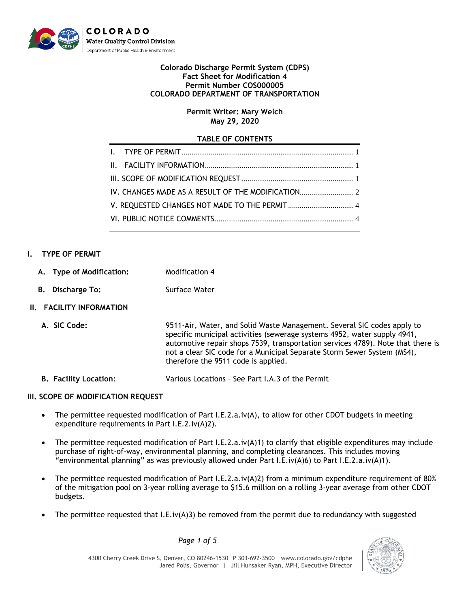

#### **Colorado Discharge Permit System (CDPS) Fact Sheet for Modification 4 Permit Number COS000005 COLORADO DEPARTMENT OF TRANSPORTATION**

## **Permit Writer: Mary Welch May 29, 2020**

## **TABLE OF CONTENTS**

## <span id="page-0-0"></span>**I. TYPE OF PERMIT**

- **A. Type of Modification:** Modification 4
- **B.** Discharge To: Surface Water

## <span id="page-0-1"></span>**II. FACILITY INFORMATION**

**A. SIC Code:** 9511-Air, Water, and Solid Waste Management. Several SIC codes apply to specific municipal activities (sewerage systems 4952, water supply 4941, automotive repair shops 7539, transportation services 4789). Note that there is not a clear SIC code for a Municipal Separate Storm Sewer System (MS4), therefore the 9511 code is applied.

**B. Facility Location**: Various Locations – See Part I.A.3 of the Permit

# <span id="page-0-2"></span>**III. SCOPE OF MODIFICATION REQUEST**

- The permittee requested modification of Part I.E.2.a.iv(A), to allow for other CDOT budgets in meeting expenditure requirements in Part I.E.2.iv(A)2).
- The permittee requested modification of Part I.E.2.a.iv(A)1) to clarify that eligible expenditures may include purchase of right-of-way, environmental planning, and completing clearances. This includes moving "environmental planning" as was previously allowed under Part I.E.iv(A)6) to Part I.E.2.a.iv(A)1).
- The permittee requested modification of Part I.E.2.a.iv(A)2) from a minimum expenditure requirement of 80% of the mitigation pool on 3-year rolling average to \$15.6 million on a rolling 3-year average from other CDOT budgets.
- The permittee requested that I.E.iv(A)3) be removed from the permit due to redundancy with suggested

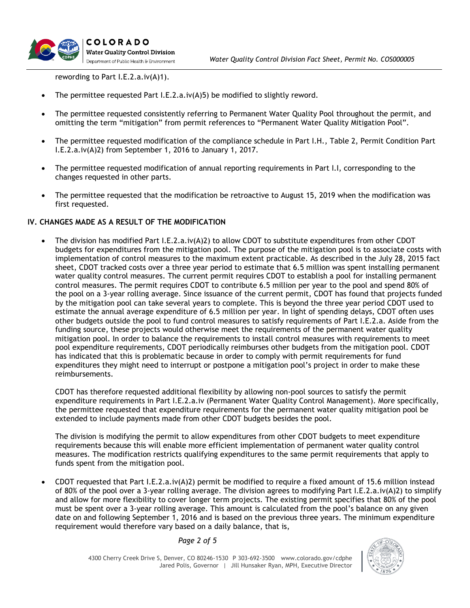rewording to Part I.E.2.a.iv(A)1).

- The permittee requested Part I.E.2.a.iv(A)5) be modified to slightly reword.
- The permittee requested consistently referring to Permanent Water Quality Pool throughout the permit, and omitting the term "mitigation" from permit references to "Permanent Water Quality Mitigation Pool".
- The permittee requested modification of the compliance schedule in Part I.H., Table 2, Permit Condition Part I.E.2.a.iv(A)2) from September 1, 2016 to January 1, 2017.
- The permittee requested modification of annual reporting requirements in Part I.I, corresponding to the changes requested in other parts.
- The permittee requested that the modification be retroactive to August 15, 2019 when the modification was first requested.

#### <span id="page-1-0"></span>**IV. CHANGES MADE AS A RESULT OF THE MODIFICATION**

 The division has modified Part I.E.2.a.iv(A)2) to allow CDOT to substitute expenditures from other CDOT budgets for expenditures from the mitigation pool. The purpose of the mitigation pool is to associate costs with implementation of control measures to the maximum extent practicable. As described in the July 28, 2015 fact sheet, CDOT tracked costs over a three year period to estimate that 6.5 million was spent installing permanent water quality control measures. The current permit requires CDOT to establish a pool for installing permanent control measures. The permit requires CDOT to contribute 6.5 million per year to the pool and spend 80% of the pool on a 3-year rolling average. Since issuance of the current permit, CDOT has found that projects funded by the mitigation pool can take several years to complete. This is beyond the three year period CDOT used to estimate the annual average expenditure of 6.5 million per year. In light of spending delays, CDOT often uses other budgets outside the pool to fund control measures to satisfy requirements of Part I.E.2.a. Aside from the funding source, these projects would otherwise meet the requirements of the permanent water quality mitigation pool. In order to balance the requirements to install control measures with requirements to meet pool expenditure requirements, CDOT periodically reimburses other budgets from the mitigation pool. CDOT has indicated that this is problematic because in order to comply with permit requirements for fund expenditures they might need to interrupt or postpone a mitigation pool's project in order to make these reimbursements.

CDOT has therefore requested additional flexibility by allowing non-pool sources to satisfy the permit expenditure requirements in Part I.E.2.a.iv (Permanent Water Quality Control Management). More specifically, the permittee requested that expenditure requirements for the permanent water quality mitigation pool be extended to include payments made from other CDOT budgets besides the pool.

The division is modifying the permit to allow expenditures from other CDOT budgets to meet expenditure requirements because this will enable more efficient implementation of permanent water quality control measures. The modification restricts qualifying expenditures to the same permit requirements that apply to funds spent from the mitigation pool.

 CDOT requested that Part I.E.2.a.iv(A)2) permit be modified to require a fixed amount of 15.6 million instead of 80% of the pool over a 3-year rolling average. The division agrees to modifying Part I.E.2.a.iv(A)2) to simplify and allow for more flexibility to cover longer term projects. The existing permit specifies that 80% of the pool must be spent over a 3-year rolling average. This amount is calculated from the pool's balance on any given date on and following September 1, 2016 and is based on the previous three years. The minimum expenditure requirement would therefore vary based on a daily balance, that is,

*Page 2 of 5*

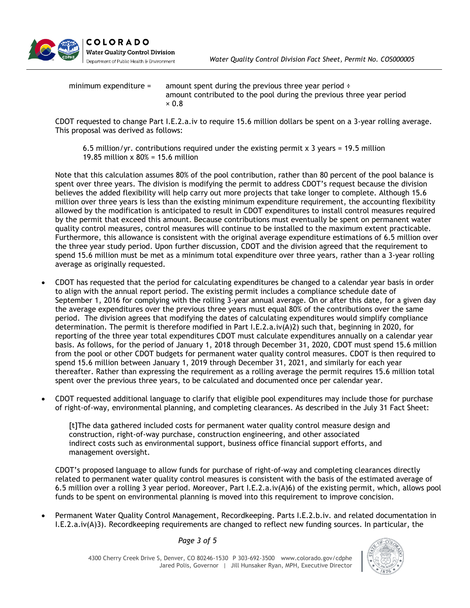

| minimum expenditure = | amount spent during the previous three year period $\div$<br>amount contributed to the pool during the previous three year period |
|-----------------------|-----------------------------------------------------------------------------------------------------------------------------------|
|                       | $\times 0.8$                                                                                                                      |

CDOT requested to change Part I.E.2.a.iv to require 15.6 million dollars be spent on a 3-year rolling average. This proposal was derived as follows:

6.5 million/yr. contributions required under the existing permit  $\times$  3 years = 19.5 million 19.85 million x 80% = 15.6 million

Note that this calculation assumes 80% of the pool contribution, rather than 80 percent of the pool balance is spent over three years. The division is modifying the permit to address CDOT's request because the division believes the added flexibility will help carry out more projects that take longer to complete. Although 15.6 million over three years is less than the existing minimum expenditure requirement, the accounting flexibility allowed by the modification is anticipated to result in CDOT expenditures to install control measures required by the permit that exceed this amount. Because contributions must eventually be spent on permanent water quality control measures, control measures will continue to be installed to the maximum extent practicable. Furthermore, this allowance is consistent with the original average expenditure estimations of 6.5 million over the three year study period. Upon further discussion, CDOT and the division agreed that the requirement to spend 15.6 million must be met as a minimum total expenditure over three years, rather than a 3-year rolling average as originally requested.

- CDOT has requested that the period for calculating expenditures be changed to a calendar year basis in order to align with the annual report period. The existing permit includes a compliance schedule date of September 1, 2016 for complying with the rolling 3-year annual average. On or after this date, for a given day the average expenditures over the previous three years must equal 80% of the contributions over the same period. The division agrees that modifying the dates of calculating expenditures would simplify compliance determination. The permit is therefore modified in Part I.E.2.a.iv(A)2) such that, beginning in 2020, for reporting of the three year total expenditures CDOT must calculate expenditures annually on a calendar year basis. As follows, for the period of January 1, 2018 through December 31, 2020, CDOT must spend 15.6 million from the pool or other CDOT budgets for permanent water quality control measures. CDOT is then required to spend 15.6 million between January 1, 2019 through December 31, 2021, and similarly for each year thereafter. Rather than expressing the requirement as a rolling average the permit requires 15.6 million total spent over the previous three years, to be calculated and documented once per calendar year.
- CDOT requested additional language to clarify that eligible pool expenditures may include those for purchase of right-of-way, environmental planning, and completing clearances. As described in the July 31 Fact Sheet:

[t]The data gathered included costs for permanent water quality control measure design and construction, right-of-way purchase, construction engineering, and other associated indirect costs such as environmental support, business office financial support efforts, and management oversight.

CDOT's proposed language to allow funds for purchase of right-of-way and completing clearances directly related to permanent water quality control measures is consistent with the basis of the estimated average of 6.5 million over a rolling 3 year period. Moreover, Part I.E.2.a.iv(A)6) of the existing permit, which, allows pool funds to be spent on environmental planning is moved into this requirement to improve concision.

 Permanent Water Quality Control Management, Recordkeeping. Parts I.E.2.b.iv. and related documentation in I.E.2.a.iv(A)3). Recordkeeping requirements are changed to reflect new funding sources. In particular, the

#### *Page 3 of 5*

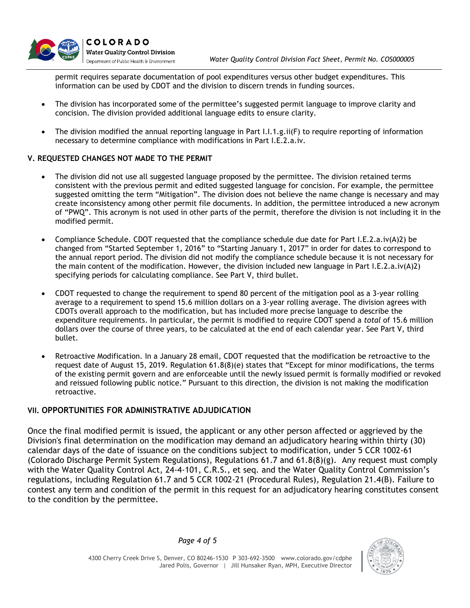

permit requires separate documentation of pool expenditures versus other budget expenditures. This information can be used by CDOT and the division to discern trends in funding sources.

- The division has incorporated some of the permittee's suggested permit language to improve clarity and concision. The division provided additional language edits to ensure clarity.
- The division modified the annual reporting language in Part I.I.1.g.ii(F) to require reporting of information necessary to determine compliance with modifications in Part I.E.2.a.iv.

#### <span id="page-3-0"></span>**V. REQUESTED CHANGES NOT MADE TO THE PERMIT**

- The division did not use all suggested language proposed by the permittee. The division retained terms consistent with the previous permit and edited suggested language for concision. For example, the permittee suggested omitting the term "Mitigation". The division does not believe the name change is necessary and may create inconsistency among other permit file documents. In addition, the permittee introduced a new acronym of "PWQ". This acronym is not used in other parts of the permit, therefore the division is not including it in the modified permit.
- Compliance Schedule. CDOT requested that the compliance schedule due date for Part I.E.2.a.iv(A)2) be changed from "Started September 1, 2016" to "Starting January 1, 2017" in order for dates to correspond to the annual report period. The division did not modify the compliance schedule because it is not necessary for the main content of the modification. However, the division included new language in Part I.E.2.a.iv(A)2) specifying periods for calculating compliance. See Part V, third bullet.
- CDOT requested to change the requirement to spend 80 percent of the mitigation pool as a 3-year rolling average to a requirement to spend 15.6 million dollars on a 3-year rolling average. The division agrees with CDOTs overall approach to the modification, but has included more precise language to describe the expenditure requirements. In particular, the permit is modified to require CDOT spend a *total* of 15.6 million dollars over the course of three years, to be calculated at the end of each calendar year. See Part V, third bullet.
- Retroactive Modification. In a January 28 email, CDOT requested that the modification be retroactive to the request date of August 15, 2019. Regulation 61.8(8)(e) states that "Except for minor modifications, the terms of the existing permit govern and are enforceable until the newly issued permit is formally modified or revoked and reissued following public notice." Pursuant to this direction, the division is not making the modification retroactive.

### <span id="page-3-1"></span>**VII. OPPORTUNITIES FOR ADMINISTRATIVE ADJUDICATION**

Once the final modified permit is issued, the applicant or any other person affected or aggrieved by the Division's final determination on the modification may demand an adjudicatory hearing within thirty (30) calendar days of the date of issuance on the conditions subject to modification, under 5 CCR 1002-61 (Colorado Discharge Permit System Regulations), Regulations 61.7 and 61.8(8)(g). Any request must comply with the Water Quality Control Act, 24-4-101, C.R.S., et seq. and the Water Quality Control Commission's regulations, including Regulation 61.7 and 5 CCR 1002-21 (Procedural Rules), Regulation 21.4(B). Failure to contest any term and condition of the permit in this request for an adjudicatory hearing constitutes consent to the condition by the permittee.

*Page 4 of 5*